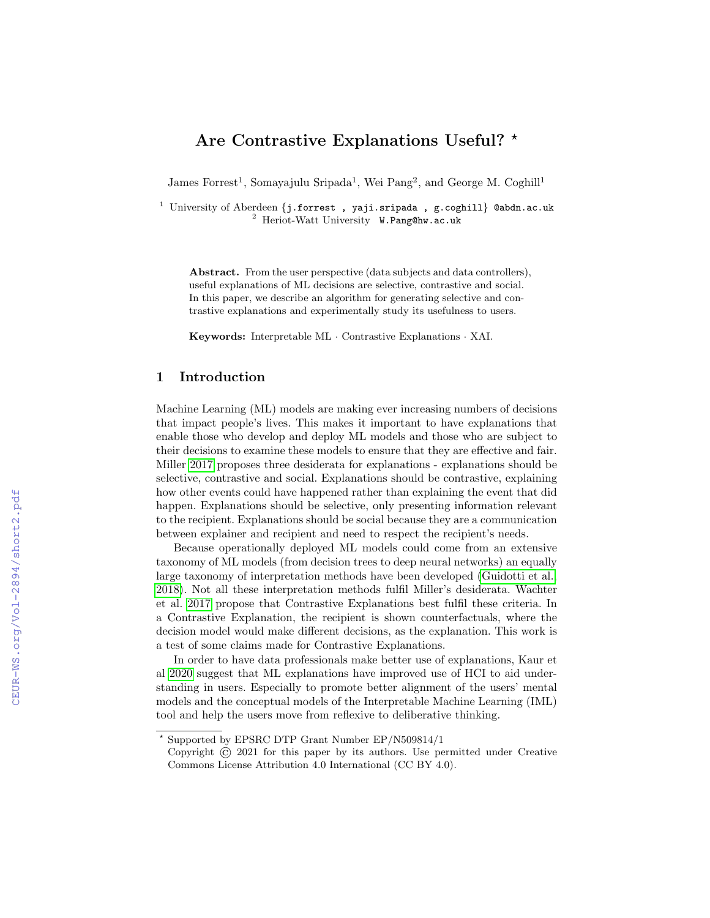# Are Contrastive Explanations Useful? \*

James Forrest<sup>1</sup>, Somayajulu Sripada<sup>1</sup>, Wei Pang<sup>2</sup>, and George M. Coghill<sup>1</sup>

<sup>1</sup> University of Aberdeen {j.forrest, yaji.sripada, g.coghill} @abdn.ac.uk <sup>2</sup> Heriot-Watt University W.Pang@hw.ac.uk

Abstract. From the user perspective (data subjects and data controllers), useful explanations of ML decisions are selective, contrastive and social. In this paper, we describe an algorithm for generating selective and contrastive explanations and experimentally study its usefulness to users.

Keywords: Interpretable ML · Contrastive Explanations · XAI.

### 1 Introduction

Machine Learning (ML) models are making ever increasing numbers of decisions that impact people's lives. This makes it important to have explanations that enable those who develop and deploy ML models and those who are subject to their decisions to examine these models to ensure that they are effective and fair. Miller [2017](#page--1-0) proposes three desiderata for explanations - explanations should be selective, contrastive and social. Explanations should be contrastive, explaining how other events could have happened rather than explaining the event that did happen. Explanations should be selective, only presenting information relevant to the recipient. Explanations should be social because they are a communication between explainer and recipient and need to respect the recipient's needs.

Because operationally deployed ML models could come from an extensive taxonomy of ML models (from decision trees to deep neural networks) an equally large taxonomy of interpretation methods have been developed [\(Guidotti et al.,](#page--1-1) [2018\)](#page--1-1). Not all these interpretation methods fulfil Miller's desiderata. Wachter et al. [2017](#page--1-2) propose that Contrastive Explanations best fulfil these criteria. In a Contrastive Explanation, the recipient is shown counterfactuals, where the decision model would make different decisions, as the explanation. This work is a test of some claims made for Contrastive Explanations.

In order to have data professionals make better use of explanations, Kaur et al [2020](#page--1-3) suggest that ML explanations have improved use of HCI to aid understanding in users. Especially to promote better alignment of the users' mental models and the conceptual models of the Interpretable Machine Learning (IML) tool and help the users move from reflexive to deliberative thinking.

<sup>?</sup> Supported by EPSRC DTP Grant Number EP/N509814/1

Copyright © 2021 for this paper by its authors. Use permitted under Creative Commons License Attribution 4.0 International (CC BY 4.0).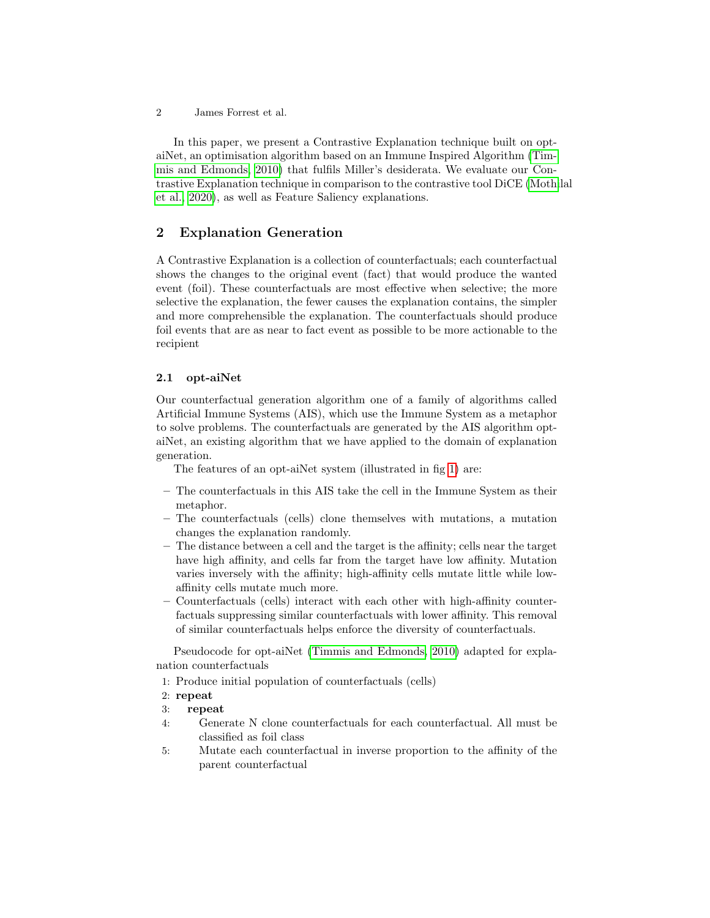2 James Forrest et al.

In this paper, we present a Contrastive Explanation technique built on optaiNet, an optimisation algorithm based on an Immune Inspired Algorithm [\(Tim](#page-7-0)[mis and Edmonds, 2010\)](#page-7-0) that fulfils Miller's desiderata. We evaluate our Contrastive Explanation technique in comparison to the contrastive tool DiCE [\(Mothi](#page-7-1)lal [et al., 2020\)](#page-7-1), as well as Feature Saliency explanations.

## 2 Explanation Generation

A Contrastive Explanation is a collection of counterfactuals; each counterfactual shows the changes to the original event (fact) that would produce the wanted event (foil). These counterfactuals are most effective when selective; the more selective the explanation, the fewer causes the explanation contains, the simpler and more comprehensible the explanation. The counterfactuals should produce foil events that are as near to fact event as possible to be more actionable to the recipient

#### 2.1 opt-aiNet

Our counterfactual generation algorithm one of a family of algorithms called Artificial Immune Systems (AIS), which use the Immune System as a metaphor to solve problems. The counterfactuals are generated by the AIS algorithm optaiNet, an existing algorithm that we have applied to the domain of explanation generation.

The features of an opt-aiNet system (illustrated in fig [1\)](#page-2-0) are:

- The counterfactuals in this AIS take the cell in the Immune System as their metaphor.
- The counterfactuals (cells) clone themselves with mutations, a mutation changes the explanation randomly.
- The distance between a cell and the target is the affinity; cells near the target have high affinity, and cells far from the target have low affinity. Mutation varies inversely with the affinity; high-affinity cells mutate little while lowaffinity cells mutate much more.
- Counterfactuals (cells) interact with each other with high-affinity counterfactuals suppressing similar counterfactuals with lower affinity. This removal of similar counterfactuals helps enforce the diversity of counterfactuals.

Pseudocode for opt-aiNet [\(Timmis and Edmonds, 2010\)](#page-7-0) adapted for explanation counterfactuals

1: Produce initial population of counterfactuals (cells)

#### 2: repeat

- 3: repeat
- 4: Generate N clone counterfactuals for each counterfactual. All must be classified as foil class
- 5: Mutate each counterfactual in inverse proportion to the affinity of the parent counterfactual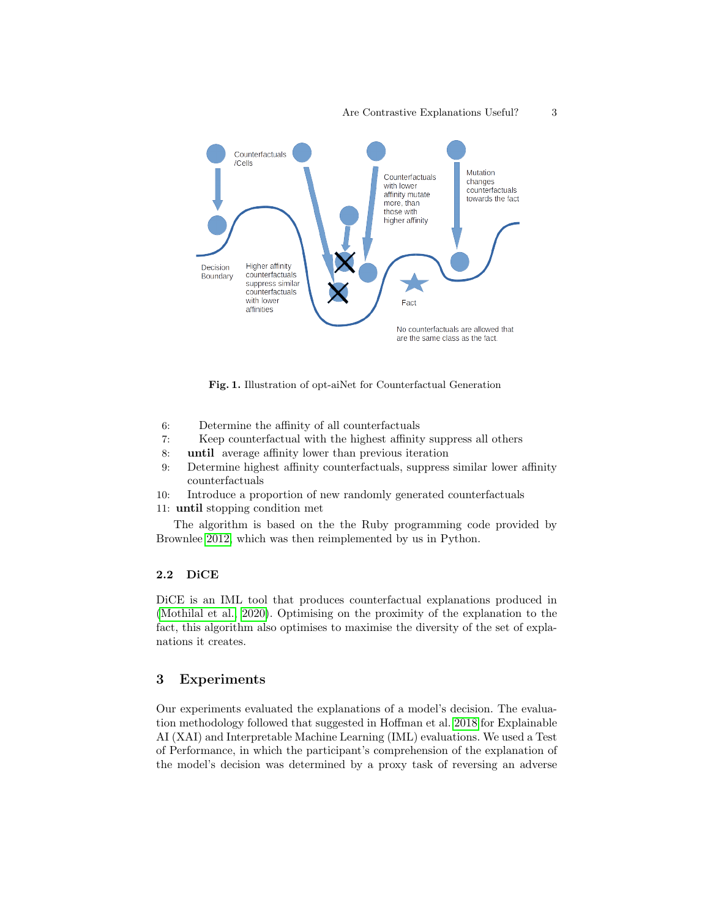

<span id="page-2-0"></span>Fig. 1. Illustration of opt-aiNet for Counterfactual Generation

- 6: Determine the affinity of all counterfactuals
- 7: Keep counterfactual with the highest affinity suppress all others
- 8: until average affinity lower than previous iteration
- 9: Determine highest affinity counterfactuals, suppress similar lower affinity counterfactuals
- 10: Introduce a proportion of new randomly generated counterfactuals
- 11: until stopping condition met

The algorithm is based on the the Ruby programming code provided by Brownlee [2012,](#page-7-2) which was then reimplemented by us in Python.

#### 2.2 DiCE

DiCE is an IML tool that produces counterfactual explanations produced in [\(Mothilal et al., 2020\)](#page-7-1). Optimising on the proximity of the explanation to the fact, this algorithm also optimises to maximise the diversity of the set of explanations it creates.

### 3 Experiments

Our experiments evaluated the explanations of a model's decision. The evaluation methodology followed that suggested in Hoffman et al. [2018](#page-7-3) for Explainable AI (XAI) and Interpretable Machine Learning (IML) evaluations. We used a Test of Performance, in which the participant's comprehension of the explanation of the model's decision was determined by a proxy task of reversing an adverse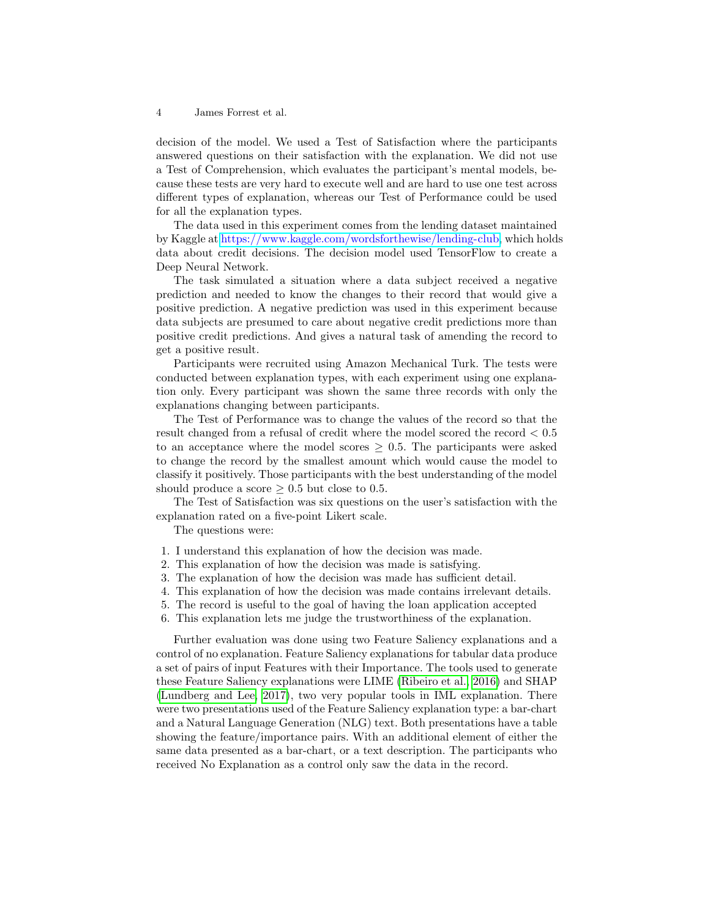4 James Forrest et al.

decision of the model. We used a Test of Satisfaction where the participants answered questions on their satisfaction with the explanation. We did not use a Test of Comprehension, which evaluates the participant's mental models, because these tests are very hard to execute well and are hard to use one test across different types of explanation, whereas our Test of Performance could be used for all the explanation types.

The data used in this experiment comes from the lending dataset maintained by Kaggle at [https://www.kaggle.com/wordsforthewise/lending-club,](https://www.kaggle.com/wordsforthewise/lending-club) which holds data about credit decisions. The decision model used TensorFlow to create a Deep Neural Network.

The task simulated a situation where a data subject received a negative prediction and needed to know the changes to their record that would give a positive prediction. A negative prediction was used in this experiment because data subjects are presumed to care about negative credit predictions more than positive credit predictions. And gives a natural task of amending the record to get a positive result.

Participants were recruited using Amazon Mechanical Turk. The tests were conducted between explanation types, with each experiment using one explanation only. Every participant was shown the same three records with only the explanations changing between participants.

The Test of Performance was to change the values of the record so that the result changed from a refusal of credit where the model scored the record < 0.5 to an acceptance where the model scores  $\geq$  0.5. The participants were asked to change the record by the smallest amount which would cause the model to classify it positively. Those participants with the best understanding of the model should produce a score  $> 0.5$  but close to 0.5.

The Test of Satisfaction was six questions on the user's satisfaction with the explanation rated on a five-point Likert scale.

The questions were:

- 1. I understand this explanation of how the decision was made.
- 2. This explanation of how the decision was made is satisfying.
- 3. The explanation of how the decision was made has sufficient detail.
- 4. This explanation of how the decision was made contains irrelevant details.
- 5. The record is useful to the goal of having the loan application accepted
- 6. This explanation lets me judge the trustworthiness of the explanation.

Further evaluation was done using two Feature Saliency explanations and a control of no explanation. Feature Saliency explanations for tabular data produce a set of pairs of input Features with their Importance. The tools used to generate these Feature Saliency explanations were LIME [\(Ribeiro et al., 2016\)](#page-7-4) and SHAP [\(Lundberg and Lee, 2017\)](#page-7-5), two very popular tools in IML explanation. There were two presentations used of the Feature Saliency explanation type: a bar-chart and a Natural Language Generation (NLG) text. Both presentations have a table showing the feature/importance pairs. With an additional element of either the same data presented as a bar-chart, or a text description. The participants who received No Explanation as a control only saw the data in the record.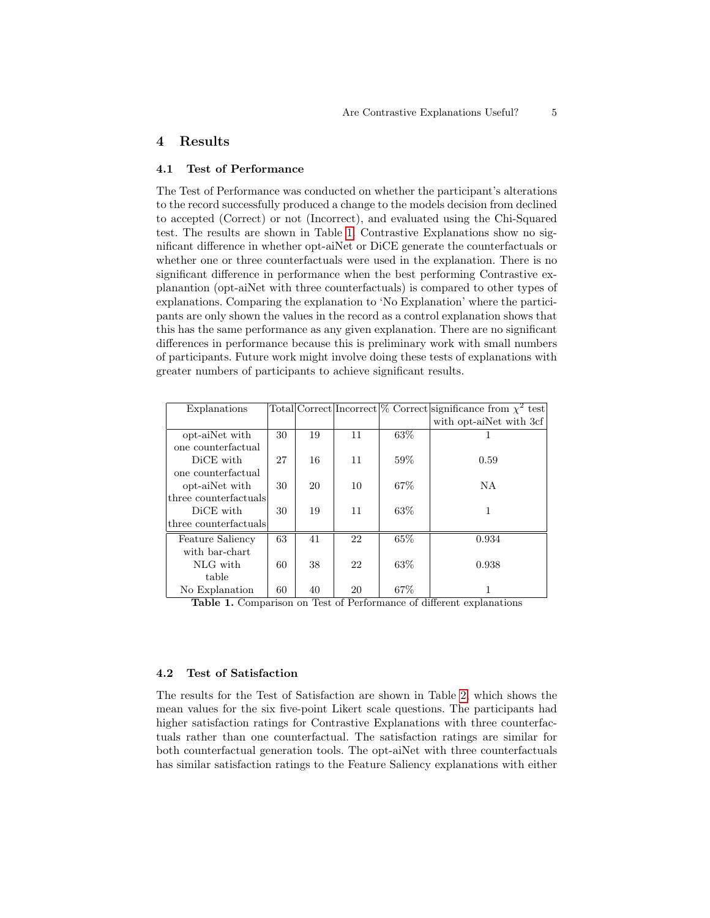### 4 Results

#### 4.1 Test of Performance

The Test of Performance was conducted on whether the participant's alterations to the record successfully produced a change to the models decision from declined to accepted (Correct) or not (Incorrect), and evaluated using the Chi-Squared test. The results are shown in Table [1.](#page-4-0) Contrastive Explanations show no significant difference in whether opt-aiNet or DiCE generate the counterfactuals or whether one or three counterfactuals were used in the explanation. There is no significant difference in performance when the best performing Contrastive explanantion (opt-aiNet with three counterfactuals) is compared to other types of explanations. Comparing the explanation to 'No Explanation' where the participants are only shown the values in the record as a control explanation shows that this has the same performance as any given explanation. There are no significant differences in performance because this is preliminary work with small numbers of participants. Future work might involve doing these tests of explanations with greater numbers of participants to achieve significant results.

| Explanations                  |    |    |    |      | Total Correct Incorrect $\%$ Correct significance from $\chi^2$ test |
|-------------------------------|----|----|----|------|----------------------------------------------------------------------|
|                               |    |    |    |      | with opt-ainet with 3cf                                              |
| opt-aiNet with                | 30 | 19 | 11 | 63\% |                                                                      |
| one counterfactual            |    |    |    |      |                                                                      |
| DiCE with                     | 27 | 16 | 11 | 59%  | 0.59                                                                 |
| one counterfactual            |    |    |    |      |                                                                      |
| opt-aiNet with                | 30 | 20 | 10 | 67\% | NA.                                                                  |
| three counterfactuals         |    |    |    |      |                                                                      |
| DiCE with                     | 30 | 19 | 11 | 63\% | 1                                                                    |
| $ $ three counterfactuals $ $ |    |    |    |      |                                                                      |
| Feature Saliency              | 63 | 41 | 22 | 65%  | 0.934                                                                |
| with bar-chart                |    |    |    |      |                                                                      |
| NLG with                      | 60 | 38 | 22 | 63\% | 0.938                                                                |
| table                         |    |    |    |      |                                                                      |
| No Explanation                | 60 | 40 | 20 | 67\% |                                                                      |

<span id="page-4-0"></span>Table 1. Comparison on Test of Performance of different explanations

#### 4.2 Test of Satisfaction

The results for the Test of Satisfaction are shown in Table [2,](#page-5-0) which shows the mean values for the six five-point Likert scale questions. The participants had higher satisfaction ratings for Contrastive Explanations with three counterfactuals rather than one counterfactual. The satisfaction ratings are similar for both counterfactual generation tools. The opt-aiNet with three counterfactuals has similar satisfaction ratings to the Feature Saliency explanations with either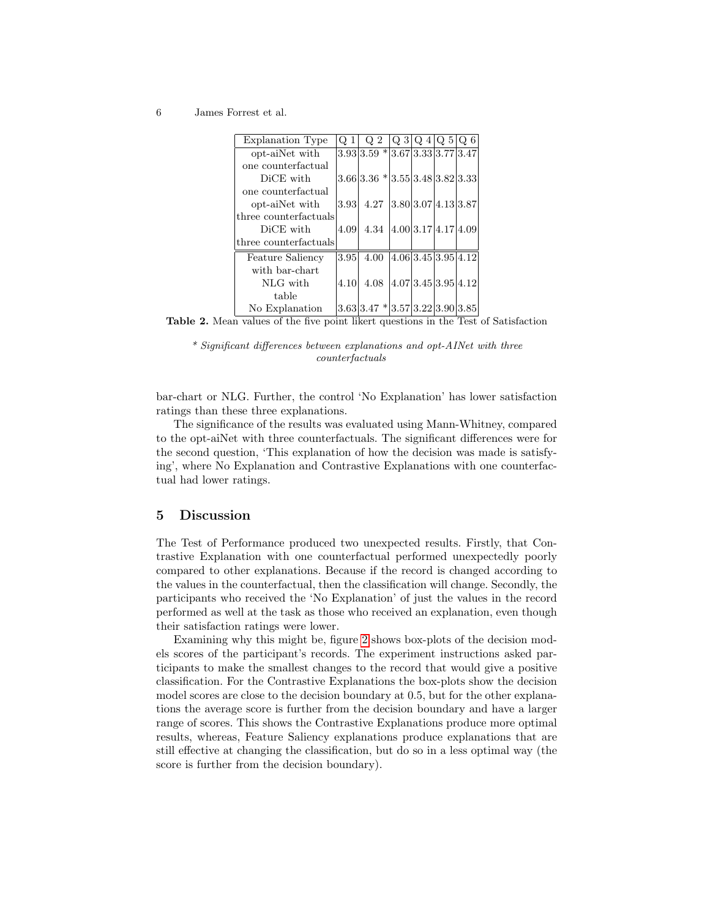6 James Forrest et al.

| <b>Explanation Type</b> | $Q_1$ | Q <sub>2</sub>                                           | $Q_3 Q_4 Q_5 Q_6$   |                     |
|-------------------------|-------|----------------------------------------------------------|---------------------|---------------------|
| opt-aiNet with          |       | $3.93$ 3.59 $*$ 3.67 3.33 3.77 3.47                      |                     |                     |
| one counterfactual      |       |                                                          |                     |                     |
| DiCE with               |       | $3.66 3.36* 3.55 3.48 3.82 3.33$                         |                     |                     |
| one counterfactual      |       |                                                          |                     |                     |
| opt-aiNet with          |       | $3.93 \mid 4.27 \mid 3.80 \mid 3.07 \mid 4.13 \mid 3.87$ |                     |                     |
| three counterfactuals   |       |                                                          |                     |                     |
| DiCE with               | 4.09  | 4.34 $ 4.00 3.17 4.17 4.09$                              |                     |                     |
| three counterfactuals   |       |                                                          |                     |                     |
| Feature Saliency        | 3.95  | 4.00                                                     |                     | 4.06 3.45 3.95 4.12 |
| with bar-chart          |       |                                                          |                     |                     |
| NLG with                | 4.10  | 4.08                                                     | 4.07 3.45 3.95 4.12 |                     |
| table                   |       |                                                          |                     |                     |
| No Explanation          |       | $3.63 3.47* 3.57 3.22 3.90 3.85 $                        |                     |                     |

Table 2. Mean values of the five point likert questions in the Test of Satisfaction

<span id="page-5-0"></span>\* Significant differences between explanations and opt-AINet with three counterfactuals

bar-chart or NLG. Further, the control 'No Explanation' has lower satisfaction ratings than these three explanations.

The significance of the results was evaluated using Mann-Whitney, compared to the opt-aiNet with three counterfactuals. The significant differences were for the second question, 'This explanation of how the decision was made is satisfying', where No Explanation and Contrastive Explanations with one counterfactual had lower ratings.

## 5 Discussion

The Test of Performance produced two unexpected results. Firstly, that Contrastive Explanation with one counterfactual performed unexpectedly poorly compared to other explanations. Because if the record is changed according to the values in the counterfactual, then the classification will change. Secondly, the participants who received the 'No Explanation' of just the values in the record performed as well at the task as those who received an explanation, even though their satisfaction ratings were lower.

Examining why this might be, figure [2](#page-6-0) shows box-plots of the decision models scores of the participant's records. The experiment instructions asked participants to make the smallest changes to the record that would give a positive classification. For the Contrastive Explanations the box-plots show the decision model scores are close to the decision boundary at 0.5, but for the other explanations the average score is further from the decision boundary and have a larger range of scores. This shows the Contrastive Explanations produce more optimal results, whereas, Feature Saliency explanations produce explanations that are still effective at changing the classification, but do so in a less optimal way (the score is further from the decision boundary).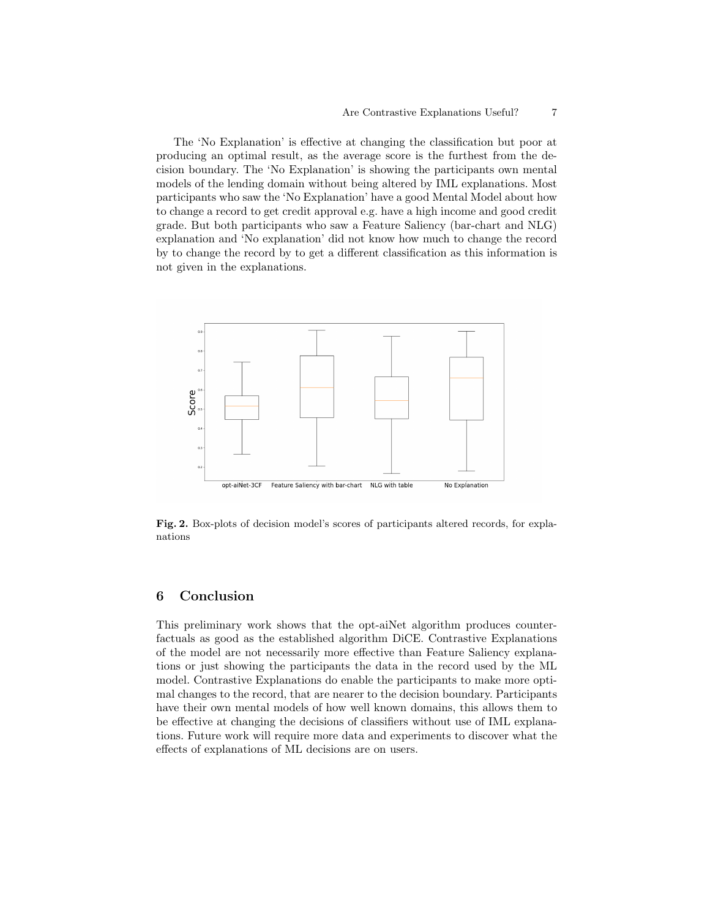#### Are Contrastive Explanations Useful? 7

The 'No Explanation' is effective at changing the classification but poor at producing an optimal result, as the average score is the furthest from the decision boundary. The 'No Explanation' is showing the participants own mental models of the lending domain without being altered by IML explanations. Most participants who saw the 'No Explanation' have a good Mental Model about how to change a record to get credit approval e.g. have a high income and good credit grade. But both participants who saw a Feature Saliency (bar-chart and NLG) explanation and 'No explanation' did not know how much to change the record by to change the record by to get a different classification as this information is not given in the explanations.



<span id="page-6-0"></span>Fig. 2. Box-plots of decision model's scores of participants altered records, for explanations

### 6 Conclusion

This preliminary work shows that the opt-aiNet algorithm produces counterfactuals as good as the established algorithm DiCE. Contrastive Explanations of the model are not necessarily more effective than Feature Saliency explanations or just showing the participants the data in the record used by the ML model. Contrastive Explanations do enable the participants to make more optimal changes to the record, that are nearer to the decision boundary. Participants have their own mental models of how well known domains, this allows them to be effective at changing the decisions of classifiers without use of IML explanations. Future work will require more data and experiments to discover what the effects of explanations of ML decisions are on users.